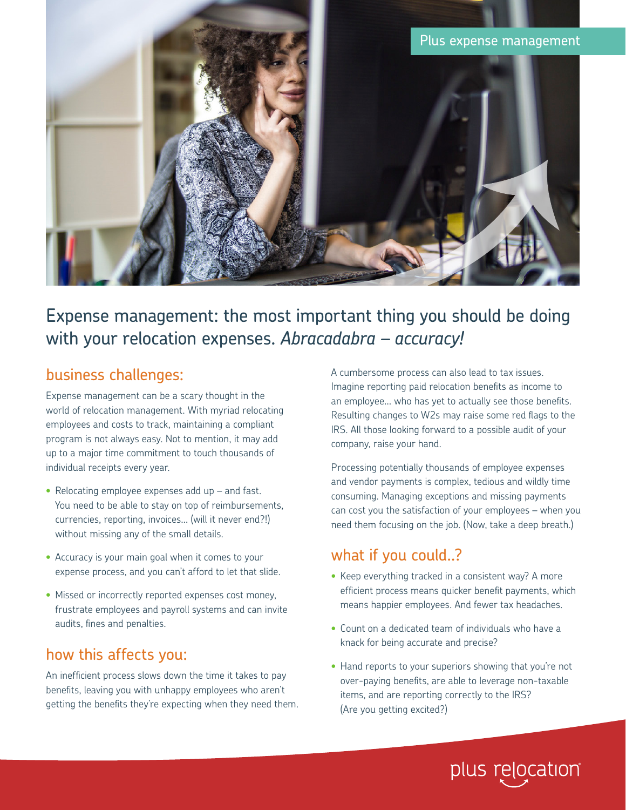

# Expense management: the most important thing you should be doing with your relocation expenses. *Abracadabra – accuracy!*

## business challenges:

Expense management can be a scary thought in the world of relocation management. With myriad relocating employees and costs to track, maintaining a compliant program is not always easy. Not to mention, it may add up to a major time commitment to touch thousands of individual receipts every year.

- Relocating employee expenses add up and fast. You need to be able to stay on top of reimbursements, currencies, reporting, invoices… (will it never end?!) without missing any of the small details.
- Accuracy is your main goal when it comes to your expense process, and you can't afford to let that slide.
- Missed or incorrectly reported expenses cost money, frustrate employees and payroll systems and can invite audits, fines and penalties.

## how this affects you:

An inefficient process slows down the time it takes to pay benefits, leaving you with unhappy employees who aren't getting the benefits they're expecting when they need them. A cumbersome process can also lead to tax issues. Imagine reporting paid relocation benefits as income to an employee… who has yet to actually see those benefits. Resulting changes to W2s may raise some red flags to the IRS. All those looking forward to a possible audit of your company, raise your hand.

Processing potentially thousands of employee expenses and vendor payments is complex, tedious and wildly time consuming. Managing exceptions and missing payments can cost you the satisfaction of your employees – when you need them focusing on the job. (Now, take a deep breath.)

# what if you could..?

- Keep everything tracked in a consistent way? A more efficient process means quicker benefit payments, which means happier employees. And fewer tax headaches.
- Count on a dedicated team of individuals who have a knack for being accurate and precise?
- Hand reports to your superiors showing that you're not over-paying benefits, are able to leverage non-taxable items, and are reporting correctly to the IRS? (Are you getting excited?)